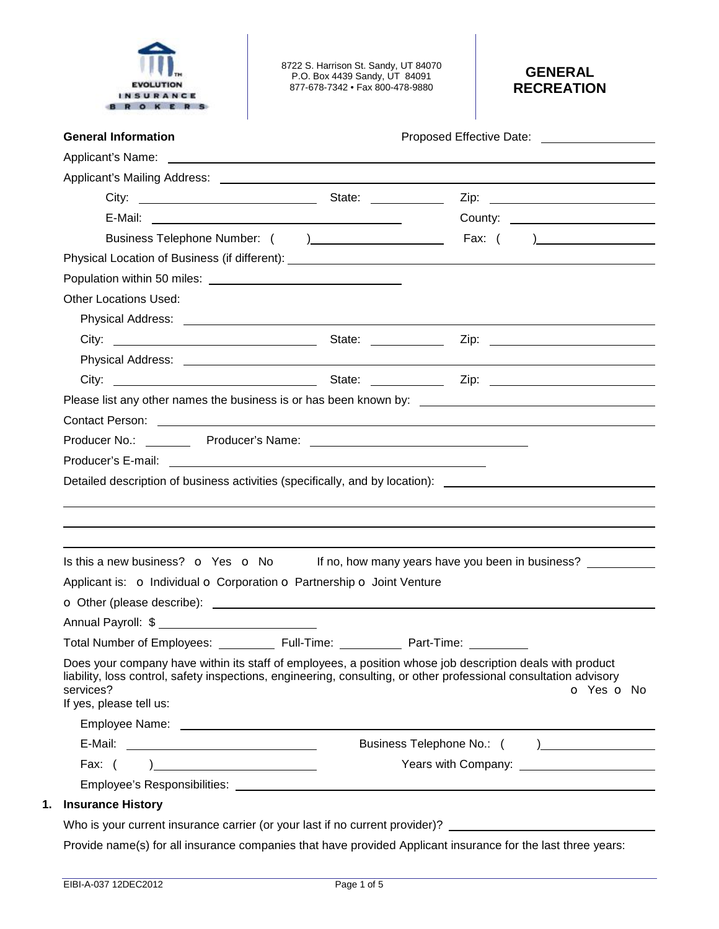

8722 S. Harrison St. Sandy, UT 84070 P.O. Box 4439 Sandy, UT 84091 877-678-7342 • Fax 800-478-9880

# **GENERAL RECREATION**

|                                                                                                                                                                                                                                                                        | Proposed Effective Date: ____________________                                                                  |
|------------------------------------------------------------------------------------------------------------------------------------------------------------------------------------------------------------------------------------------------------------------------|----------------------------------------------------------------------------------------------------------------|
|                                                                                                                                                                                                                                                                        |                                                                                                                |
|                                                                                                                                                                                                                                                                        |                                                                                                                |
|                                                                                                                                                                                                                                                                        |                                                                                                                |
|                                                                                                                                                                                                                                                                        |                                                                                                                |
|                                                                                                                                                                                                                                                                        |                                                                                                                |
|                                                                                                                                                                                                                                                                        |                                                                                                                |
|                                                                                                                                                                                                                                                                        |                                                                                                                |
| <b>Other Locations Used:</b>                                                                                                                                                                                                                                           |                                                                                                                |
|                                                                                                                                                                                                                                                                        |                                                                                                                |
|                                                                                                                                                                                                                                                                        |                                                                                                                |
|                                                                                                                                                                                                                                                                        |                                                                                                                |
|                                                                                                                                                                                                                                                                        |                                                                                                                |
|                                                                                                                                                                                                                                                                        |                                                                                                                |
|                                                                                                                                                                                                                                                                        |                                                                                                                |
|                                                                                                                                                                                                                                                                        |                                                                                                                |
|                                                                                                                                                                                                                                                                        |                                                                                                                |
|                                                                                                                                                                                                                                                                        |                                                                                                                |
|                                                                                                                                                                                                                                                                        |                                                                                                                |
|                                                                                                                                                                                                                                                                        | Is this a new business? $\bullet$ Yes $\bullet$ No If no, how many years have you been in business?            |
| Applicant is: o Individual o Corporation o Partnership o Joint Venture                                                                                                                                                                                                 |                                                                                                                |
|                                                                                                                                                                                                                                                                        |                                                                                                                |
|                                                                                                                                                                                                                                                                        |                                                                                                                |
| Total Number of Employees: ____________ Full-Time: ____________ Part-Time: __________                                                                                                                                                                                  |                                                                                                                |
| Does your company have within its staff of employees, a position whose job description deals with product<br>liability, loss control, safety inspections, engineering, consulting, or other professional consultation advisory<br>services?<br>If yes, please tell us: | o Yes o No                                                                                                     |
|                                                                                                                                                                                                                                                                        |                                                                                                                |
|                                                                                                                                                                                                                                                                        |                                                                                                                |
| Fax: $( )$                                                                                                                                                                                                                                                             |                                                                                                                |
|                                                                                                                                                                                                                                                                        |                                                                                                                |
| <b>Insurance History</b>                                                                                                                                                                                                                                               |                                                                                                                |
|                                                                                                                                                                                                                                                                        | Who is your current insurance carrier (or your last if no current provider)? _________________________________ |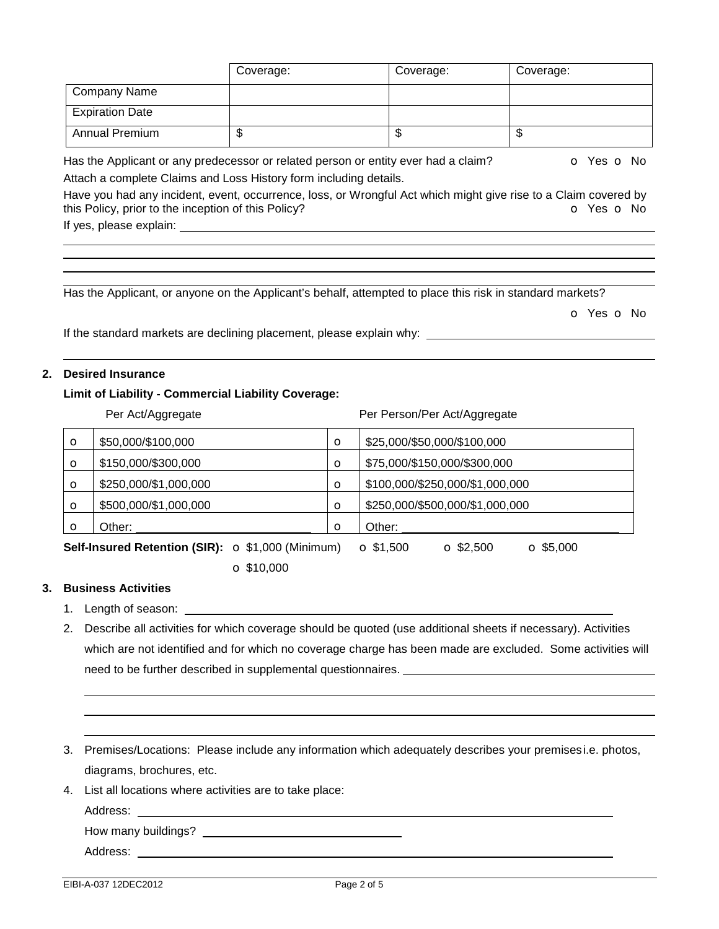|                        | Coverage: | Coverage: | Coverage: |
|------------------------|-----------|-----------|-----------|
| Company Name           |           |           |           |
| <b>Expiration Date</b> |           |           |           |
| <b>Annual Premium</b>  | Ψ         | \$        | ີ         |

Has the Applicant or any predecessor or related person or entity ever had a claim?  $\bullet$  Yes  $\bullet$  No Attach a complete Claims and Loss History form including details.

Have you had any incident, event, occurrence, loss, or Wrongful Act which might give rise to a Claim covered by this Policy, prior to the inception of this Policy? **o Yes o No** Yes **o** No

If yes, please explain:

Has the Applicant, or anyone on the Applicant's behalf, attempted to place this risk in standard markets?

o Yes o No

If the standard markets are declining placement, please explain why:

#### **2. Desired Insurance**

## **Limit of Liability - Commercial Liability Coverage:**

|                                                   | Per Act/Aggregate     |         | Per Person/Per Act/Aggregate                             |
|---------------------------------------------------|-----------------------|---------|----------------------------------------------------------|
| $\circ$                                           | \$50,000/\$100,000    | $\circ$ | \$25,000/\$50,000/\$100,000                              |
| $\circ$                                           | \$150,000/\$300,000   | $\circ$ | \$75,000/\$150,000/\$300,000                             |
| $\circ$                                           | \$250,000/\$1,000,000 | $\circ$ | \$100,000/\$250,000/\$1,000,000                          |
| $\circ$                                           | \$500,000/\$1,000,000 | $\circ$ | \$250,000/\$500,000/\$1,000,000                          |
| $\circ$                                           | Other:                | $\circ$ | Other:                                                   |
| Self-Insured Retention (SIR): O \$1,000 (Minimum) |                       |         | $\Omega$ \$1,500<br>$\Omega$ \$5,000<br>$\Omega$ \$2,500 |

o \$10,000

# **3. Business Activities**

- 1. Length of season:
- 2. Describe all activities for which coverage should be quoted (use additional sheets if necessary). Activities which are not identified and for which no coverage charge has been made are excluded. Some activities will need to be further described in supplemental questionnaires.
- 3. Premises/Locations: Please include any information which adequately describes your premisesi.e. photos, diagrams, brochures, etc.
- 4. List all locations where activities are to take place:

Address:

How many buildings?

Address: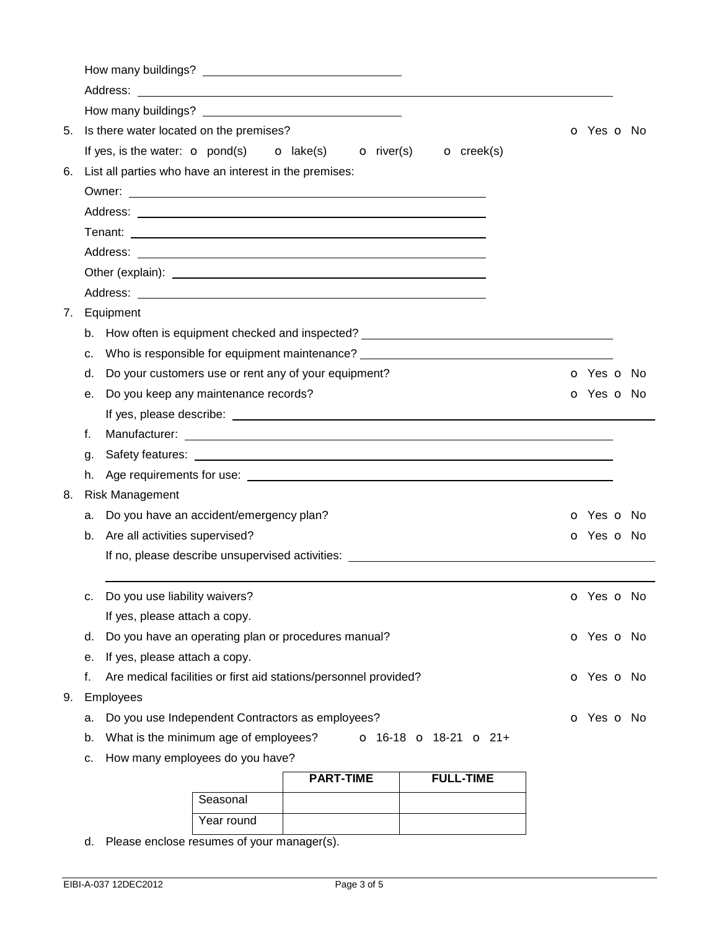|    |    | Address:                                                                                                                                                                                                                             |                          |
|----|----|--------------------------------------------------------------------------------------------------------------------------------------------------------------------------------------------------------------------------------------|--------------------------|
|    |    |                                                                                                                                                                                                                                      |                          |
| 5. |    | Is there water located on the premises?                                                                                                                                                                                              | O Yes O No               |
|    |    | If yes, is the water: $\bullet$ pond(s) $\bullet$ lake(s)<br>$\bullet$ river(s)<br>$\overline{\mathbf{O}}$ creek(s)                                                                                                                  |                          |
| 6. |    | List all parties who have an interest in the premises:                                                                                                                                                                               |                          |
|    |    |                                                                                                                                                                                                                                      |                          |
|    |    |                                                                                                                                                                                                                                      |                          |
|    |    |                                                                                                                                                                                                                                      |                          |
|    |    | Address:<br><u> 1989 - Johann Harry Harry Harry Harry Harry Harry Harry Harry Harry Harry Harry Harry Harry Harry Harry Harry</u>                                                                                                    |                          |
|    |    | Other (explain): <u>contract and a series of the series of the series of the series of the series of the series of the series of the series of the series of the series of the series of the series of the series of the series </u> |                          |
|    |    |                                                                                                                                                                                                                                      |                          |
| 7. |    | Equipment                                                                                                                                                                                                                            |                          |
|    | b. | How often is equipment checked and inspected? ___________________________________                                                                                                                                                    |                          |
|    | c. | Who is responsible for equipment maintenance? __________________________________                                                                                                                                                     |                          |
|    | d. | Do your customers use or rent any of your equipment?                                                                                                                                                                                 | o Yes o No               |
|    | e. | Do you keep any maintenance records?                                                                                                                                                                                                 | O Yes O No               |
|    |    |                                                                                                                                                                                                                                      |                          |
|    | f. |                                                                                                                                                                                                                                      |                          |
|    | q. |                                                                                                                                                                                                                                      |                          |
|    | h. |                                                                                                                                                                                                                                      |                          |
| 8. |    | <b>Risk Management</b>                                                                                                                                                                                                               |                          |
|    | a. | Do you have an accident/emergency plan?                                                                                                                                                                                              | <b>o</b> Yes <b>o</b> No |
|    |    | b. Are all activities supervised?                                                                                                                                                                                                    | O Yes O No               |
|    |    | If no, please describe unsupervised activities: <b>All any of the set of the set of the set of the set of the set of the set of the set of the set of the set of the set of the set of the set of the set of the set of the set </b> |                          |
|    |    |                                                                                                                                                                                                                                      |                          |
|    | c. | Do you use liability waivers?                                                                                                                                                                                                        | o Yes o No               |
|    |    | If yes, please attach a copy.                                                                                                                                                                                                        |                          |
|    | d. | Do you have an operating plan or procedures manual?                                                                                                                                                                                  | o Yes o No               |
|    | е. | If yes, please attach a copy.                                                                                                                                                                                                        |                          |
|    | f. | Are medical facilities or first aid stations/personnel provided?                                                                                                                                                                     | O Yes O No               |
| 9. |    | Employees                                                                                                                                                                                                                            |                          |
|    | а. | Do you use Independent Contractors as employees?                                                                                                                                                                                     | o Yes o No               |
|    | b. | What is the minimum age of employees?<br>$\sigma$ 16-18 $\sigma$ 18-21 $\sigma$ 21+                                                                                                                                                  |                          |
|    | c. | How many employees do you have?                                                                                                                                                                                                      |                          |
|    |    | PART-TIME<br>FULL-TIME                                                                                                                                                                                                               |                          |

|            | <b>PART-TIME</b> | <b>FULL-TIME</b> |
|------------|------------------|------------------|
| Seasonal   |                  |                  |
| Year round |                  |                  |

d. Please enclose resumes of your manager(s).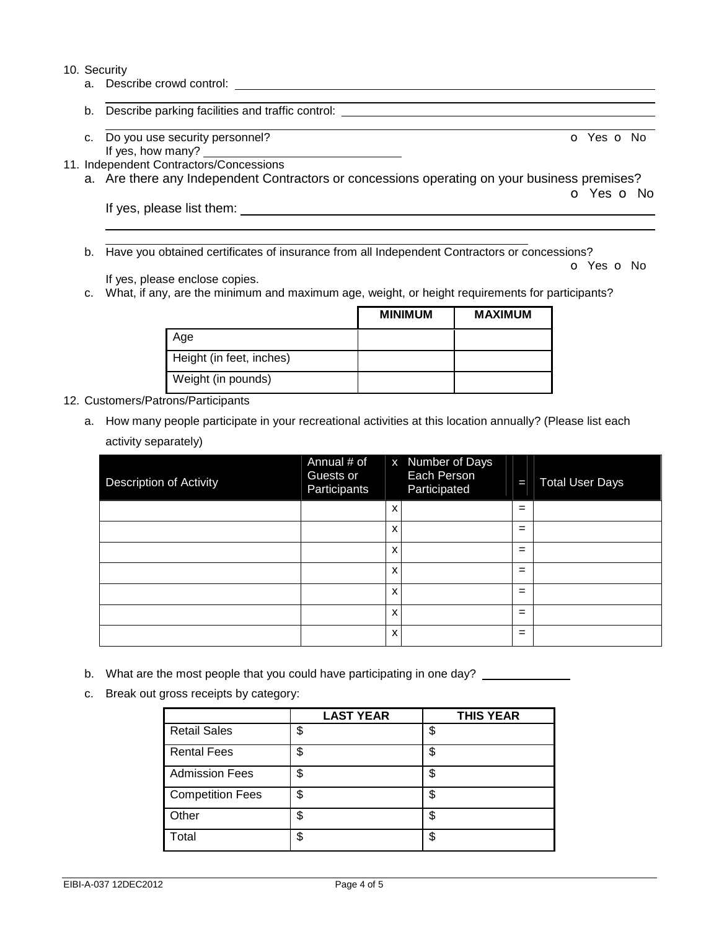#### 10. Security

 $\overline{a}$  $\overline{a}$ 

- a. Describe crowd control: <u>controlective controlective controlective</u>
- b. Describe parking facilities and traffic control:
- c. Do you use security personnel? Communication of Yes of No. The Vest of No. The Vest of No. The Vest of No. If yes, how many? \_\_
- 11. Independent Contractors/Concessions
	- a. Are there any Independent Contractors or concessions operating on your business premises? o Yes o No

If yes, please list them:

b. Have you obtained certificates of insurance from all Independent Contractors or concessions?

If yes, please enclose copies.

c. What, if any, are the minimum and maximum age, weight, or height requirements for participants?

|                          | <b>MINIMUM</b> | <b>MAXIMUM</b> |
|--------------------------|----------------|----------------|
| Age                      |                |                |
| Height (in feet, inches) |                |                |
| Weight (in pounds)       |                |                |

# 12. Customers/Patrons/Participants

a. How many people participate in your recreational activities at this location annually? (Please list each activity separately)

| <b>Description of Activity</b> | Annual # of<br>Guests or<br>Participants |   | x Number of Days<br>Each Person<br>Participated | T   | <b>Total User Days</b> |
|--------------------------------|------------------------------------------|---|-------------------------------------------------|-----|------------------------|
|                                |                                          | X |                                                 | $=$ |                        |
|                                |                                          | X |                                                 | $=$ |                        |
|                                |                                          | X |                                                 | $=$ |                        |
|                                |                                          | x |                                                 | $=$ |                        |
|                                |                                          | x |                                                 | $=$ |                        |
|                                |                                          | X |                                                 | $=$ |                        |
|                                |                                          | x |                                                 | $=$ |                        |

- b. What are the most people that you could have participating in one day?
- c. Break out gross receipts by category:

|                         | <b>LAST YEAR</b> | <b>THIS YEAR</b> |
|-------------------------|------------------|------------------|
| <b>Retail Sales</b>     | \$               | \$               |
| <b>Rental Fees</b>      | \$               | \$               |
| <b>Admission Fees</b>   | \$               | \$               |
| <b>Competition Fees</b> | \$               | S                |
| Other                   | \$               | \$               |
| Total                   | \$               | \$               |

o Yes o No